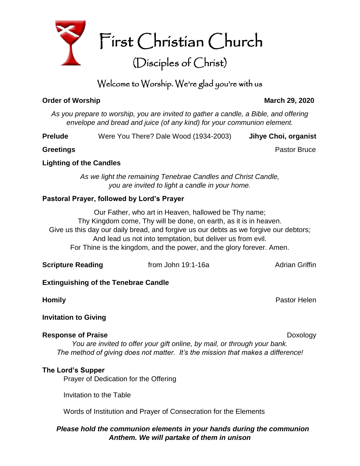

# Welcome to Worship. We're glad you're with us

# **Order of Worship March 29, 2020**

*As you prepare to worship, you are invited to gather a candle, a Bible, and offering envelope and bread and juice (of any kind) for your communion element.*

**Prelude** Were You There? Dale Wood (1934-2003) **Jihye Choi, organist**

**Greetings Contract Bruce Pastor Bruce Pastor Bruce** 

# **Lighting of the Candles**

*As we light the remaining Tenebrae Candles and Christ Candle, you are invited to light a candle in your home.*

# **Pastoral Prayer, followed by Lord's Prayer**

Our Father, who art in Heaven, hallowed be Thy name; Thy Kingdom come, Thy will be done, on earth, as it is in heaven. Give us this day our daily bread, and forgive us our debts as we forgive our debtors; And lead us not into temptation, but deliver us from evil. For Thine is the kingdom, and the power, and the glory forever. Amen.

| <b>Scripture Reading</b> | from John 19:1-16a | <b>Adrian Griffin</b> |
|--------------------------|--------------------|-----------------------|
|                          |                    |                       |

# **Extinguishing of the Tenebrae Candle**

**Homily** Pastor Helen

# **Invitation to Giving**

# **Response of Praise Doxology**

*You are invited to offer your gift online, by mail, or through your bank. The method of giving does not matter. It's the mission that makes a difference!*

# **The Lord's Supper**

Prayer of Dedication for the Offering

Invitation to the Table

Words of Institution and Prayer of Consecration for the Elements

# *Please hold the communion elements in your hands during the communion Anthem. We will partake of them in unison*